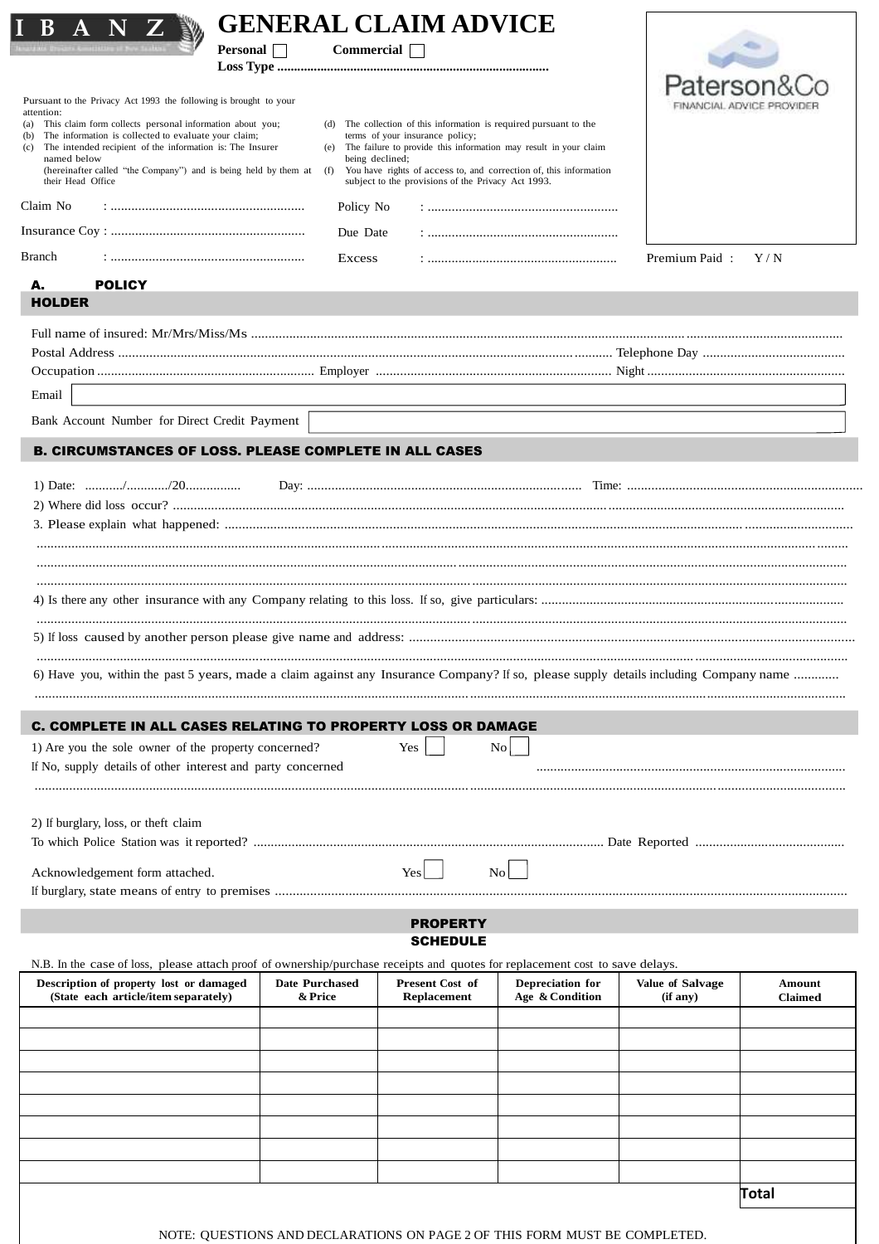|                                                       | Personal                                                                                                                                                                                                                                                 | <b>GENERAL CLAIM ADVICE</b><br>Commercial                                                                                                                                                                                                                                                                                                |                                                                                                                                       |
|-------------------------------------------------------|----------------------------------------------------------------------------------------------------------------------------------------------------------------------------------------------------------------------------------------------------------|------------------------------------------------------------------------------------------------------------------------------------------------------------------------------------------------------------------------------------------------------------------------------------------------------------------------------------------|---------------------------------------------------------------------------------------------------------------------------------------|
|                                                       |                                                                                                                                                                                                                                                          |                                                                                                                                                                                                                                                                                                                                          |                                                                                                                                       |
|                                                       | Pursuant to the Privacy Act 1993 the following is brought to your                                                                                                                                                                                        |                                                                                                                                                                                                                                                                                                                                          |                                                                                                                                       |
| attention:<br>(b)<br>named below<br>their Head Office | (a) This claim form collects personal information about you;<br>The information is collected to evaluate your claim;<br>(c) The intended recipient of the information is: The Insurer<br>(hereinafter called "the Company") and is being held by them at | The collection of this information is required pursuant to the<br>(d)<br>terms of your insurance policy;<br>The failure to provide this information may result in your claim<br>(e)<br>being declined;<br>You have rights of access to, and correction of, this information<br>(f)<br>subject to the provisions of the Privacy Act 1993. |                                                                                                                                       |
| Claim No                                              |                                                                                                                                                                                                                                                          | Policy No                                                                                                                                                                                                                                                                                                                                |                                                                                                                                       |
|                                                       |                                                                                                                                                                                                                                                          | Due Date                                                                                                                                                                                                                                                                                                                                 |                                                                                                                                       |
| <b>Branch</b>                                         |                                                                                                                                                                                                                                                          | Excess                                                                                                                                                                                                                                                                                                                                   | Premium Paid:<br>Y/N                                                                                                                  |
| А.                                                    | <b>POLICY</b>                                                                                                                                                                                                                                            |                                                                                                                                                                                                                                                                                                                                          |                                                                                                                                       |
| <b>HOLDER</b>                                         |                                                                                                                                                                                                                                                          |                                                                                                                                                                                                                                                                                                                                          |                                                                                                                                       |
|                                                       |                                                                                                                                                                                                                                                          |                                                                                                                                                                                                                                                                                                                                          |                                                                                                                                       |
|                                                       |                                                                                                                                                                                                                                                          |                                                                                                                                                                                                                                                                                                                                          |                                                                                                                                       |
|                                                       |                                                                                                                                                                                                                                                          |                                                                                                                                                                                                                                                                                                                                          |                                                                                                                                       |
| Email                                                 |                                                                                                                                                                                                                                                          |                                                                                                                                                                                                                                                                                                                                          |                                                                                                                                       |
|                                                       | Bank Account Number for Direct Credit Payment                                                                                                                                                                                                            |                                                                                                                                                                                                                                                                                                                                          |                                                                                                                                       |
|                                                       |                                                                                                                                                                                                                                                          |                                                                                                                                                                                                                                                                                                                                          | 6) Have you, within the past 5 years, made a claim against any Insurance Company? If so, please supply details including Company name |
|                                                       |                                                                                                                                                                                                                                                          |                                                                                                                                                                                                                                                                                                                                          |                                                                                                                                       |
|                                                       |                                                                                                                                                                                                                                                          | <b>C. COMPLETE IN ALL CASES RELATING TO PROPERTY LOSS OR DAMAGE</b>                                                                                                                                                                                                                                                                      |                                                                                                                                       |
|                                                       | 1) Are you the sole owner of the property concerned?<br>If No, supply details of other interest and party concerned                                                                                                                                      | No<br>Yes                                                                                                                                                                                                                                                                                                                                |                                                                                                                                       |
|                                                       | 2) If burglary, loss, or theft claim                                                                                                                                                                                                                     |                                                                                                                                                                                                                                                                                                                                          |                                                                                                                                       |
|                                                       |                                                                                                                                                                                                                                                          |                                                                                                                                                                                                                                                                                                                                          |                                                                                                                                       |
|                                                       | Acknowledgement form attached.                                                                                                                                                                                                                           | $\overline{N_{0}}$<br>Yes                                                                                                                                                                                                                                                                                                                |                                                                                                                                       |
|                                                       |                                                                                                                                                                                                                                                          |                                                                                                                                                                                                                                                                                                                                          |                                                                                                                                       |
|                                                       |                                                                                                                                                                                                                                                          | <b>PROPERTY</b><br><b>SCHEDULE</b><br>N.B. In the case of loss, please attach proof of ownership/purchase receipts and quotes for replacement cost to save delays.                                                                                                                                                                       |                                                                                                                                       |

| Description of property lost or damaged<br>(State each article/item separately) | Date Purchased<br>& Price | <b>Present Cost of</b><br>Replacement | Depreciation for<br>Age & Condition | Value of Salvage<br>(if any) | Amount<br>Claimed |
|---------------------------------------------------------------------------------|---------------------------|---------------------------------------|-------------------------------------|------------------------------|-------------------|
|                                                                                 |                           |                                       |                                     |                              |                   |
|                                                                                 |                           |                                       |                                     |                              |                   |
|                                                                                 |                           |                                       |                                     |                              |                   |
|                                                                                 |                           |                                       |                                     |                              |                   |
|                                                                                 |                           |                                       |                                     |                              |                   |
|                                                                                 |                           |                                       |                                     |                              |                   |
|                                                                                 |                           |                                       |                                     |                              |                   |
|                                                                                 |                           |                                       |                                     |                              |                   |
|                                                                                 |                           |                                       |                                     |                              | <b>Total</b>      |
|                                                                                 |                           |                                       |                                     |                              |                   |

NOTE: QUESTIONS AND DECLARATIONS ON PAGE 2 OF THIS FORM MUST BE COMPLETED.